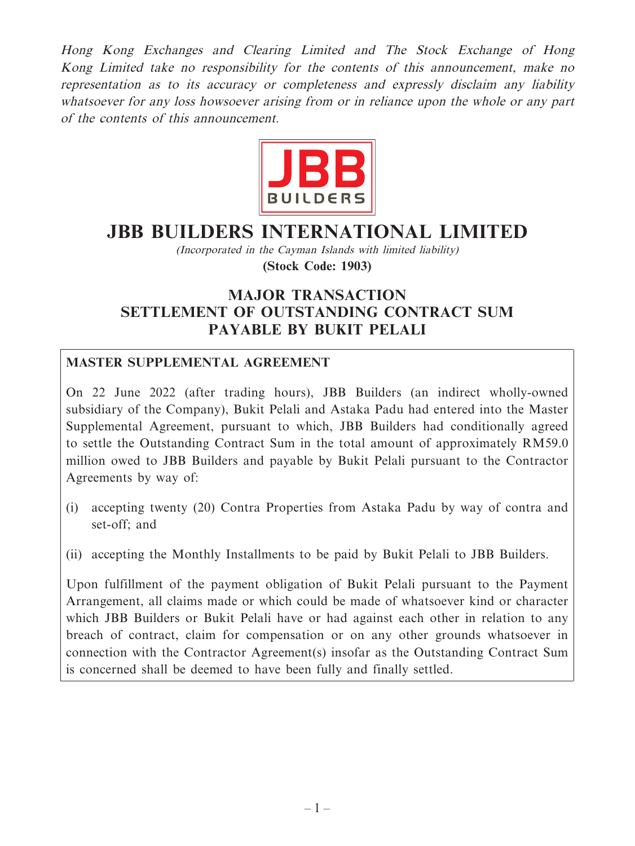Hong Kong Exchanges and Clearing Limited and The Stock Exchange of Hong Kong Limited take no responsibility for the contents of this announcement, make no representation as to its accuracy or completeness and expressly disclaim any liability whatsoever for any loss howsoever arising from or in reliance upon the whole or any part of the contents of this announcement.



# **JBB BUILDERS INTERNATIONAL LIMITED**

(Incorporated in the Cayman Islands with limited liability)

**(Stock Code: 1903)**

# **MAJOR TRANSACTION SETTLEMENT OF OUTSTANDING CONTRACT SUM PAYABLE BY BUKIT PELALI**

## **MASTER SUPPLEMENTAL AGREEMENT**

On 22 June 2022 (after trading hours), JBB Builders (an indirect wholly-owned subsidiary of the Company), Bukit Pelali and Astaka Padu had entered into the Master Supplemental Agreement, pursuant to which, JBB Builders had conditionally agreed to settle the Outstanding Contract Sum in the total amount of approximately RM59.0 million owed to JBB Builders and payable by Bukit Pelali pursuant to the Contractor Agreements by way of:

- (i) accepting twenty (20) Contra Properties from Astaka Padu by way of contra and set-off; and
- (ii) accepting the Monthly Installments to be paid by Bukit Pelali to JBB Builders.

Upon fulfillment of the payment obligation of Bukit Pelali pursuant to the Payment Arrangement, all claims made or which could be made of whatsoever kind or character which JBB Builders or Bukit Pelali have or had against each other in relation to any breach of contract, claim for compensation or on any other grounds whatsoever in connection with the Contractor Agreement(s) insofar as the Outstanding Contract Sum is concerned shall be deemed to have been fully and finally settled.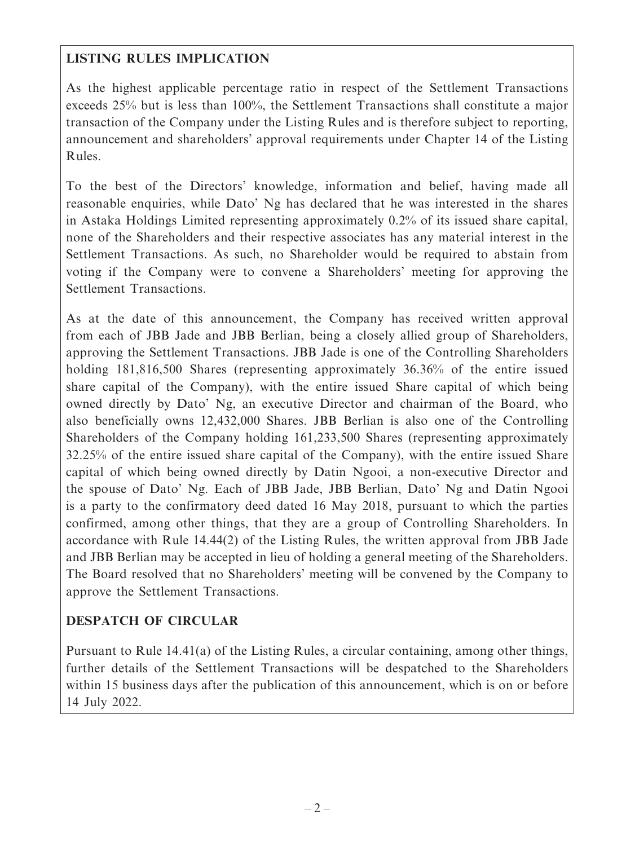# **LISTING RULES IMPLICATION**

As the highest applicable percentage ratio in respect of the Settlement Transactions exceeds 25% but is less than 100%, the Settlement Transactions shall constitute a major transaction of the Company under the Listing Rules and is therefore subject to reporting, announcement and shareholders' approval requirements under Chapter 14 of the Listing Rules.

To the best of the Directors' knowledge, information and belief, having made all reasonable enquiries, while Dato' Ng has declared that he was interested in the shares in Astaka Holdings Limited representing approximately 0.2% of its issued share capital, none of the Shareholders and their respective associates has any material interest in the Settlement Transactions. As such, no Shareholder would be required to abstain from voting if the Company were to convene a Shareholders' meeting for approving the Settlement Transactions.

As at the date of this announcement, the Company has received written approval from each of JBB Jade and JBB Berlian, being a closely allied group of Shareholders, approving the Settlement Transactions. JBB Jade is one of the Controlling Shareholders holding 181,816,500 Shares (representing approximately 36.36% of the entire issued share capital of the Company), with the entire issued Share capital of which being owned directly by Dato' Ng, an executive Director and chairman of the Board, who also beneficially owns 12,432,000 Shares. JBB Berlian is also one of the Controlling Shareholders of the Company holding 161,233,500 Shares (representing approximately 32.25% of the entire issued share capital of the Company), with the entire issued Share capital of which being owned directly by Datin Ngooi, a non-executive Director and the spouse of Dato' Ng. Each of JBB Jade, JBB Berlian, Dato' Ng and Datin Ngooi is a party to the confirmatory deed dated 16 May 2018, pursuant to which the parties confirmed, among other things, that they are a group of Controlling Shareholders. In accordance with Rule 14.44(2) of the Listing Rules, the written approval from JBB Jade and JBB Berlian may be accepted in lieu of holding a general meeting of the Shareholders. The Board resolved that no Shareholders' meeting will be convened by the Company to approve the Settlement Transactions.

# **DESPATCH OF CIRCULAR**

Pursuant to Rule 14.41(a) of the Listing Rules, a circular containing, among other things, further details of the Settlement Transactions will be despatched to the Shareholders within 15 business days after the publication of this announcement, which is on or before 14 July 2022.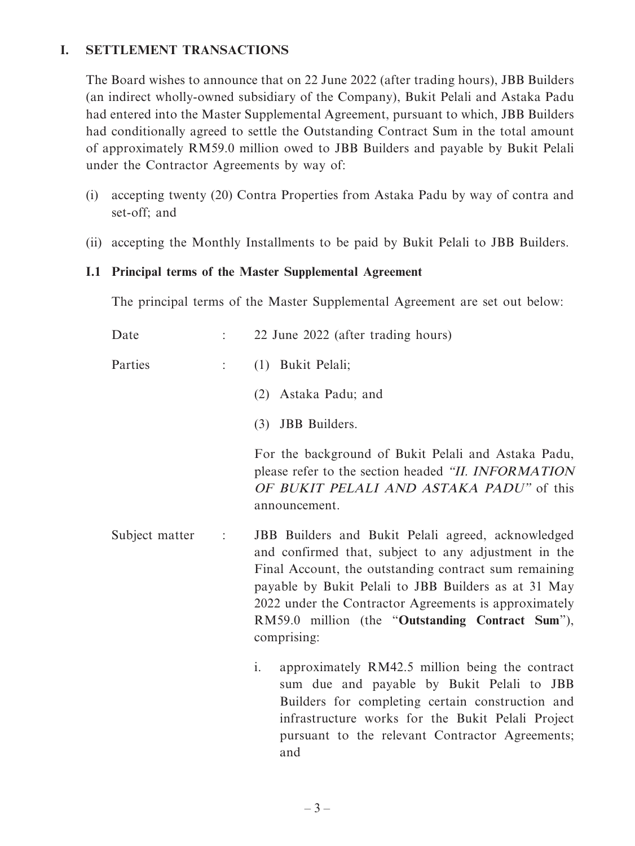## **I. SETTLEMENT TRANSACTIONS**

The Board wishes to announce that on 22 June 2022 (after trading hours), JBB Builders (an indirect wholly-owned subsidiary of the Company), Bukit Pelali and Astaka Padu had entered into the Master Supplemental Agreement, pursuant to which, JBB Builders had conditionally agreed to settle the Outstanding Contract Sum in the total amount of approximately RM59.0 million owed to JBB Builders and payable by Bukit Pelali under the Contractor Agreements by way of:

- (i) accepting twenty (20) Contra Properties from Astaka Padu by way of contra and set-off; and
- (ii) accepting the Monthly Installments to be paid by Bukit Pelali to JBB Builders.

#### **I.1 Principal terms of the Master Supplemental Agreement**

The principal terms of the Master Supplemental Agreement are set out below:

| Date           |                | 22 June 2022 (after trading hours)                                                                                                                                                                                                                                                                                                                      |
|----------------|----------------|---------------------------------------------------------------------------------------------------------------------------------------------------------------------------------------------------------------------------------------------------------------------------------------------------------------------------------------------------------|
| Parties        | $\ddot{\cdot}$ | (1) Bukit Pelali;                                                                                                                                                                                                                                                                                                                                       |
|                |                | Astaka Padu; and<br>(2)                                                                                                                                                                                                                                                                                                                                 |
|                |                | <b>JBB</b> Builders.<br>(3)                                                                                                                                                                                                                                                                                                                             |
|                |                | For the background of Bukit Pelali and Astaka Padu,<br>please refer to the section headed "II. INFORMATION<br>OF BUKIT PELALI AND ASTAKA PADU" of this<br>announcement.                                                                                                                                                                                 |
| Subject matter | $\ddot{\cdot}$ | JBB Builders and Bukit Pelali agreed, acknowledged<br>and confirmed that, subject to any adjustment in the<br>Final Account, the outstanding contract sum remaining<br>payable by Bukit Pelali to JBB Builders as at 31 May<br>2022 under the Contractor Agreements is approximately<br>RM59.0 million (the "Outstanding Contract Sum"),<br>comprising: |
|                |                | $\mathbf{i}$ .<br>approximately RM42.5 million being the contract<br>sum due and payable by Bukit Pelali to JBB<br>Builders for completing certain construction and                                                                                                                                                                                     |

infrastructure works for the Bukit Pelali Project pursuant to the relevant Contractor Agreements;

and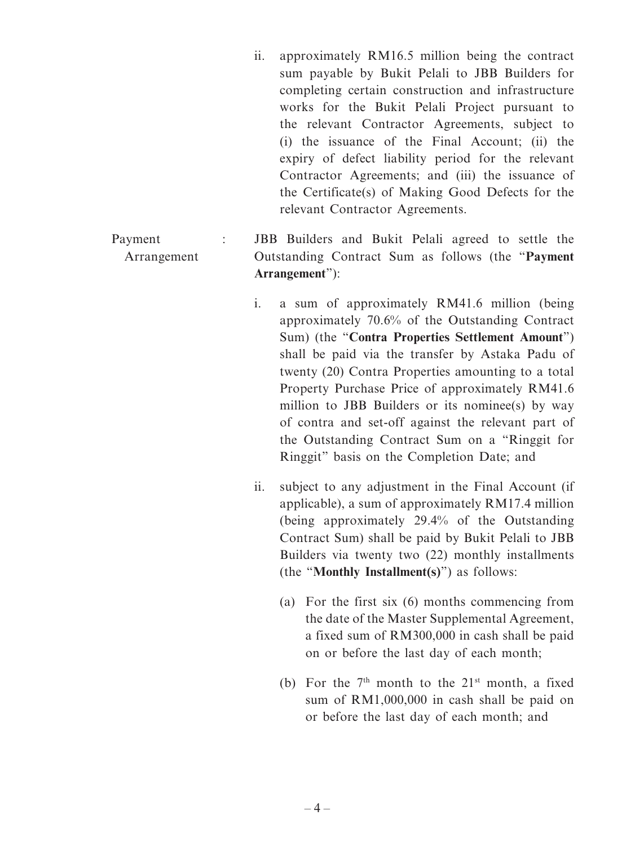- ii. approximately RM16.5 million being the contract sum payable by Bukit Pelali to JBB Builders for completing certain construction and infrastructure works for the Bukit Pelali Project pursuant to the relevant Contractor Agreements, subject to (i) the issuance of the Final Account; (ii) the expiry of defect liability period for the relevant Contractor Agreements; and (iii) the issuance of the Certificate(s) of Making Good Defects for the relevant Contractor Agreements.
- Payment Arrangement : JBB Builders and Bukit Pelali agreed to settle the Outstanding Contract Sum as follows (the "**Payment Arrangement**"):
	- i. a sum of approximately RM41.6 million (being approximately 70.6% of the Outstanding Contract Sum) (the "**Contra Properties Settlement Amount**") shall be paid via the transfer by Astaka Padu of twenty (20) Contra Properties amounting to a total Property Purchase Price of approximately RM41.6 million to JBB Builders or its nominee(s) by way of contra and set-off against the relevant part of the Outstanding Contract Sum on a "Ringgit for Ringgit" basis on the Completion Date; and
	- ii. subject to any adjustment in the Final Account (if applicable), a sum of approximately RM17.4 million (being approximately 29.4% of the Outstanding Contract Sum) shall be paid by Bukit Pelali to JBB Builders via twenty two (22) monthly installments (the "**Monthly Installment(s)**") as follows:
		- (a) For the first six (6) months commencing from the date of the Master Supplemental Agreement, a fixed sum of RM300,000 in cash shall be paid on or before the last day of each month;
		- (b) For the  $7<sup>th</sup>$  month to the  $21<sup>st</sup>$  month, a fixed sum of RM1,000,000 in cash shall be paid on or before the last day of each month; and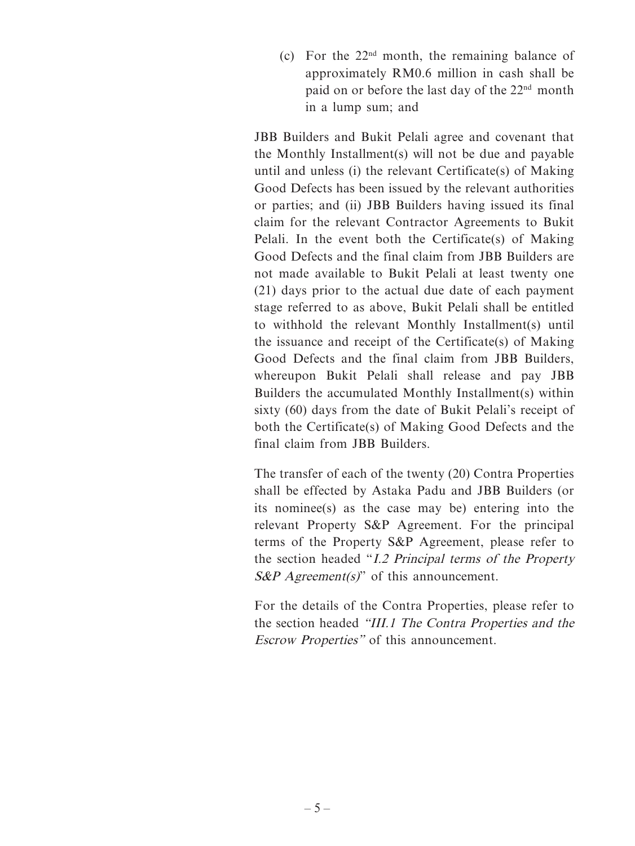(c) For the  $22<sup>nd</sup>$  month, the remaining balance of approximately RM0.6 million in cash shall be paid on or before the last day of the 22nd month in a lump sum; and

JBB Builders and Bukit Pelali agree and covenant that the Monthly Installment(s) will not be due and payable until and unless (i) the relevant Certificate(s) of Making Good Defects has been issued by the relevant authorities or parties; and (ii) JBB Builders having issued its final claim for the relevant Contractor Agreements to Bukit Pelali. In the event both the Certificate(s) of Making Good Defects and the final claim from JBB Builders are not made available to Bukit Pelali at least twenty one (21) days prior to the actual due date of each payment stage referred to as above, Bukit Pelali shall be entitled to withhold the relevant Monthly Installment(s) until the issuance and receipt of the Certificate(s) of Making Good Defects and the final claim from JBB Builders, whereupon Bukit Pelali shall release and pay JBB Builders the accumulated Monthly Installment(s) within sixty (60) days from the date of Bukit Pelali's receipt of both the Certificate(s) of Making Good Defects and the final claim from JBB Builders.

The transfer of each of the twenty (20) Contra Properties shall be effected by Astaka Padu and JBB Builders (or its nominee(s) as the case may be) entering into the relevant Property S&P Agreement. For the principal terms of the Property S&P Agreement, please refer to the section headed "I.2 Principal terms of the Property  $S\&P$  Agreement(s)" of this announcement.

For the details of the Contra Properties, please refer to the section headed "III.1 The Contra Properties and the Escrow Properties" of this announcement.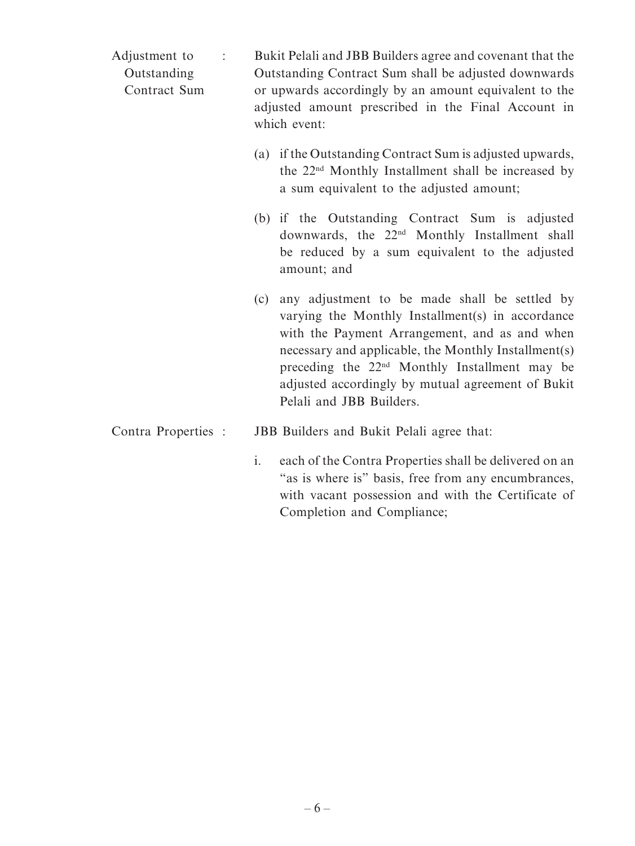| Adjustment to<br>$\ddot{\cdot}$<br>Outstanding<br>Contract Sum |                | Bukit Pelali and JBB Builders agree and covenant that the<br>Outstanding Contract Sum shall be adjusted downwards<br>or upwards accordingly by an amount equivalent to the<br>adjusted amount prescribed in the Final Account in<br>which event:                                                                                                         |
|----------------------------------------------------------------|----------------|----------------------------------------------------------------------------------------------------------------------------------------------------------------------------------------------------------------------------------------------------------------------------------------------------------------------------------------------------------|
|                                                                |                | (a) if the Outstanding Contract Sum is adjusted upwards,<br>the 22 <sup>nd</sup> Monthly Installment shall be increased by<br>a sum equivalent to the adjusted amount;                                                                                                                                                                                   |
|                                                                |                | (b) if the Outstanding Contract Sum is adjusted<br>downwards, the 22 <sup>nd</sup> Monthly Installment shall<br>be reduced by a sum equivalent to the adjusted<br>amount; and                                                                                                                                                                            |
|                                                                | (c)            | any adjustment to be made shall be settled by<br>varying the Monthly Installment(s) in accordance<br>with the Payment Arrangement, and as and when<br>necessary and applicable, the Monthly Installment(s)<br>preceding the 22 <sup>nd</sup> Monthly Installment may be<br>adjusted accordingly by mutual agreement of Bukit<br>Pelali and JBB Builders. |
| Contra Properties :                                            |                | JBB Builders and Bukit Pelali agree that:                                                                                                                                                                                                                                                                                                                |
|                                                                | $\mathbf{i}$ . | each of the Contra Properties shall be delivered on an<br>"as is where is" basis, free from any encumbrances,                                                                                                                                                                                                                                            |

with vacant possession and with the Certificate of

Completion and Compliance;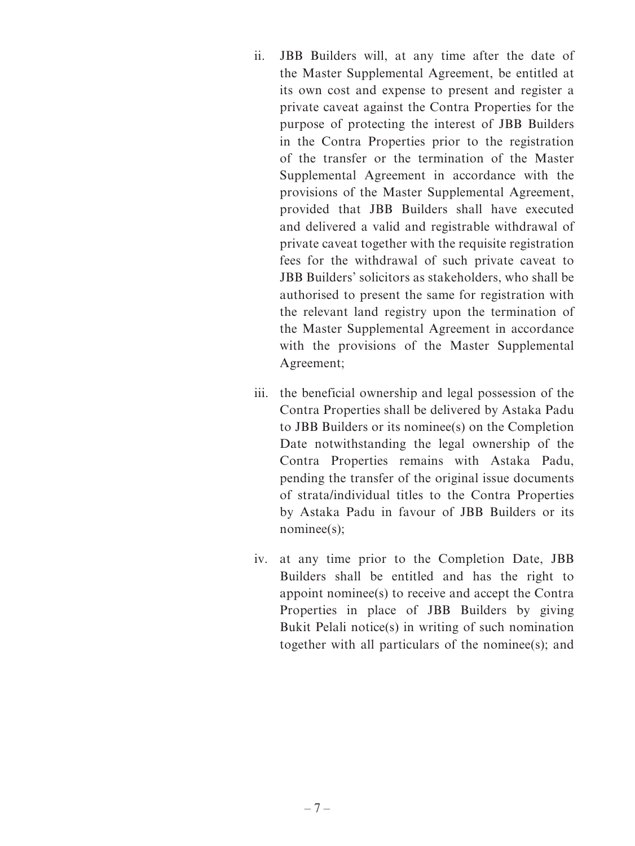- ii. JBB Builders will, at any time after the date of the Master Supplemental Agreement, be entitled at its own cost and expense to present and register a private caveat against the Contra Properties for the purpose of protecting the interest of JBB Builders in the Contra Properties prior to the registration of the transfer or the termination of the Master Supplemental Agreement in accordance with the provisions of the Master Supplemental Agreement, provided that JBB Builders shall have executed and delivered a valid and registrable withdrawal of private caveat together with the requisite registration fees for the withdrawal of such private caveat to JBB Builders' solicitors as stakeholders, who shall be authorised to present the same for registration with the relevant land registry upon the termination of the Master Supplemental Agreement in accordance with the provisions of the Master Supplemental Agreement;
- iii. the beneficial ownership and legal possession of the Contra Properties shall be delivered by Astaka Padu to JBB Builders or its nominee(s) on the Completion Date notwithstanding the legal ownership of the Contra Properties remains with Astaka Padu, pending the transfer of the original issue documents of strata/individual titles to the Contra Properties by Astaka Padu in favour of JBB Builders or its nominee(s):
- iv. at any time prior to the Completion Date, JBB Builders shall be entitled and has the right to appoint nominee(s) to receive and accept the Contra Properties in place of JBB Builders by giving Bukit Pelali notice(s) in writing of such nomination together with all particulars of the nominee(s); and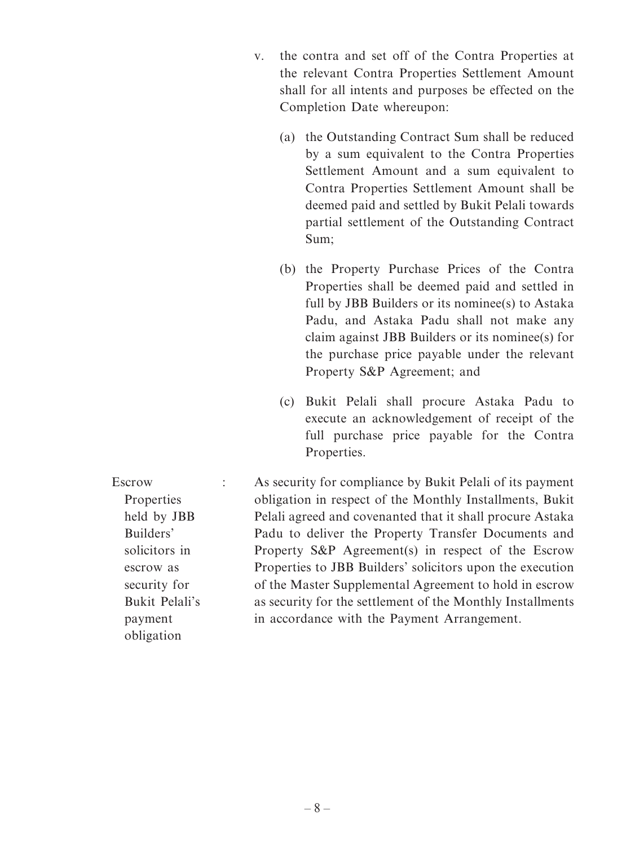- v. the contra and set off of the Contra Properties at the relevant Contra Properties Settlement Amount shall for all intents and purposes be effected on the Completion Date whereupon:
	- (a) the Outstanding Contract Sum shall be reduced by a sum equivalent to the Contra Properties Settlement Amount and a sum equivalent to Contra Properties Settlement Amount shall be deemed paid and settled by Bukit Pelali towards partial settlement of the Outstanding Contract Sum;
	- (b) the Property Purchase Prices of the Contra Properties shall be deemed paid and settled in full by JBB Builders or its nominee(s) to Astaka Padu, and Astaka Padu shall not make any claim against JBB Builders or its nominee(s) for the purchase price payable under the relevant Property S&P Agreement; and
	- (c) Bukit Pelali shall procure Astaka Padu to execute an acknowledgement of receipt of the full purchase price payable for the Contra Properties.

Escrow Properties held by JBB Builders' solicitors in escrow as security for Bukit Pelali's payment obligation : As security for compliance by Bukit Pelali of its payment obligation in respect of the Monthly Installments, Bukit Pelali agreed and covenanted that it shall procure Astaka Padu to deliver the Property Transfer Documents and Property S&P Agreement(s) in respect of the Escrow Properties to JBB Builders' solicitors upon the execution of the Master Supplemental Agreement to hold in escrow as security for the settlement of the Monthly Installments in accordance with the Payment Arrangement.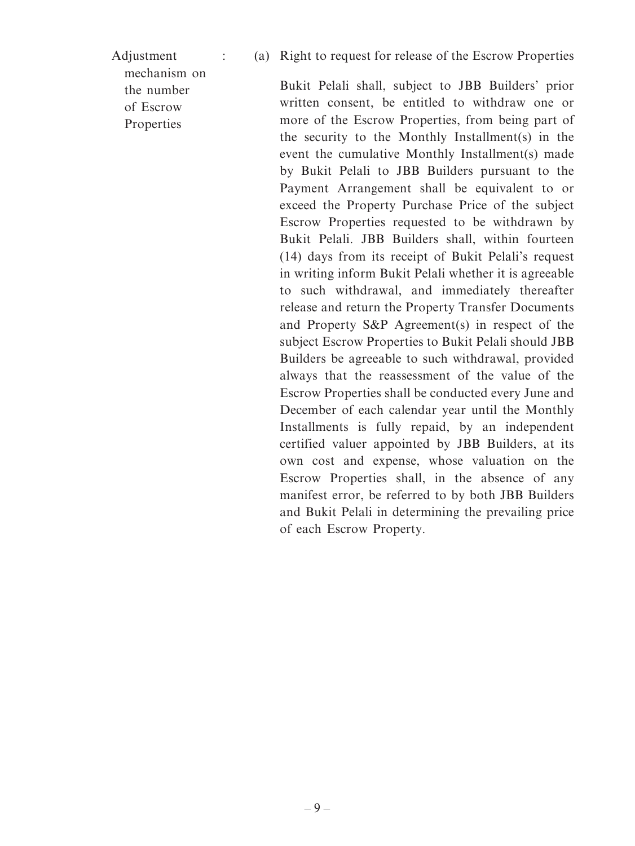Adjustment

: (a) Right to request for release of the Escrow Properties

mechanism on the number of Escrow Properties

Bukit Pelali shall, subject to JBB Builders' prior written consent, be entitled to withdraw one or more of the Escrow Properties, from being part of the security to the Monthly Installment(s) in the event the cumulative Monthly Installment(s) made by Bukit Pelali to JBB Builders pursuant to the Payment Arrangement shall be equivalent to or exceed the Property Purchase Price of the subject Escrow Properties requested to be withdrawn by Bukit Pelali. JBB Builders shall, within fourteen (14) days from its receipt of Bukit Pelali's request in writing inform Bukit Pelali whether it is agreeable to such withdrawal, and immediately thereafter release and return the Property Transfer Documents and Property S&P Agreement(s) in respect of the subject Escrow Properties to Bukit Pelali should JBB Builders be agreeable to such withdrawal, provided always that the reassessment of the value of the Escrow Properties shall be conducted every June and December of each calendar year until the Monthly Installments is fully repaid, by an independent certified valuer appointed by JBB Builders, at its own cost and expense, whose valuation on the Escrow Properties shall, in the absence of any manifest error, be referred to by both JBB Builders and Bukit Pelali in determining the prevailing price of each Escrow Property.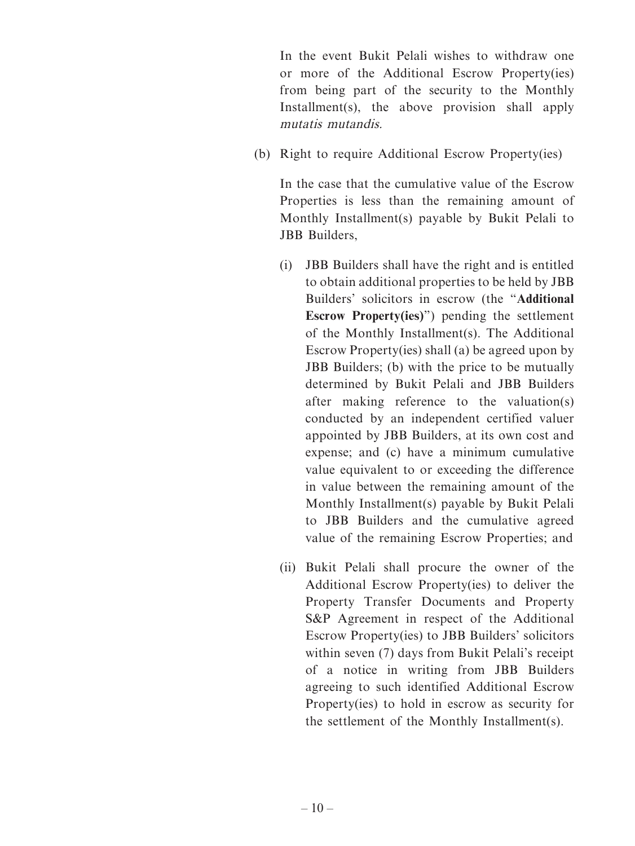In the event Bukit Pelali wishes to withdraw one or more of the Additional Escrow Property(ies) from being part of the security to the Monthly Installment(s), the above provision shall apply mutatis mutandis.

(b) Right to require Additional Escrow Property(ies)

In the case that the cumulative value of the Escrow Properties is less than the remaining amount of Monthly Installment(s) payable by Bukit Pelali to JBB Builders,

- (i) JBB Builders shall have the right and is entitled to obtain additional properties to be held by JBB Builders' solicitors in escrow (the "**Additional Escrow Property(ies)**") pending the settlement of the Monthly Installment(s). The Additional Escrow Property(ies) shall (a) be agreed upon by JBB Builders; (b) with the price to be mutually determined by Bukit Pelali and JBB Builders after making reference to the valuation(s) conducted by an independent certified valuer appointed by JBB Builders, at its own cost and expense; and (c) have a minimum cumulative value equivalent to or exceeding the difference in value between the remaining amount of the Monthly Installment(s) payable by Bukit Pelali to JBB Builders and the cumulative agreed value of the remaining Escrow Properties; and
- (ii) Bukit Pelali shall procure the owner of the Additional Escrow Property(ies) to deliver the Property Transfer Documents and Property S&P Agreement in respect of the Additional Escrow Property(ies) to JBB Builders' solicitors within seven (7) days from Bukit Pelali's receipt of a notice in writing from JBB Builders agreeing to such identified Additional Escrow Property(ies) to hold in escrow as security for the settlement of the Monthly Installment(s).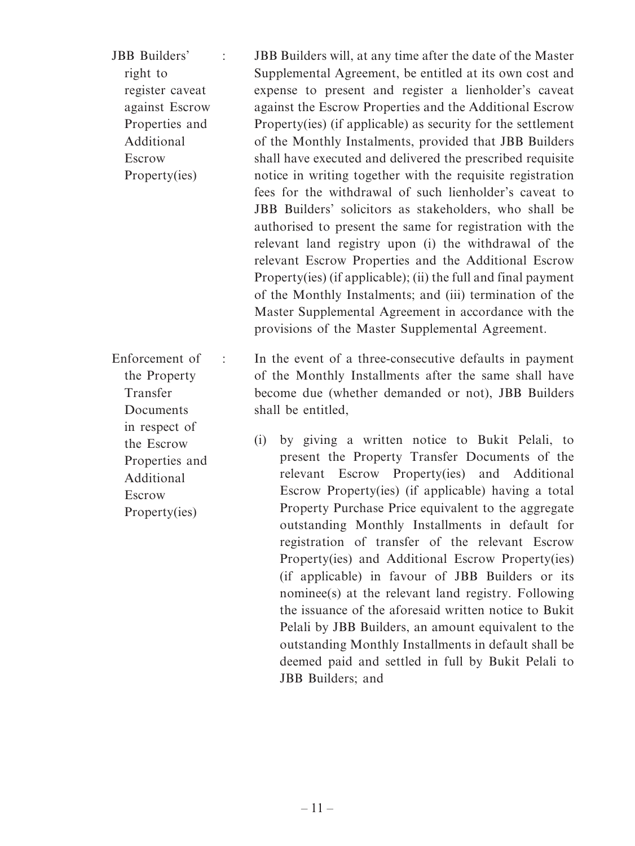JBB Builders' right to register caveat against Escrow Properties and Additional Escrow Property(ies) : JBB Builders will, at any time after the date of the Master Supplemental Agreement, be entitled at its own cost and expense to present and register a lienholder's caveat against the Escrow Properties and the Additional Escrow Property(ies) (if applicable) as security for the settlement of the Monthly Instalments, provided that JBB Builders shall have executed and delivered the prescribed requisite notice in writing together with the requisite registration fees for the withdrawal of such lienholder's caveat to JBB Builders' solicitors as stakeholders, who shall be authorised to present the same for registration with the relevant land registry upon (i) the withdrawal of the relevant Escrow Properties and the Additional Escrow Property(ies) (if applicable); (ii) the full and final payment of the Monthly Instalments; and (iii) termination of the Master Supplemental Agreement in accordance with the provisions of the Master Supplemental Agreement.

Enforcement of the Property Transfer **Documents** : In the event of a three-consecutive defaults in payment of the Monthly Installments after the same shall have become due (whether demanded or not), JBB Builders shall be entitled,

> (i) by giving a written notice to Bukit Pelali, to present the Property Transfer Documents of the relevant Escrow Property(ies) and Additional Escrow Property(ies) (if applicable) having a total Property Purchase Price equivalent to the aggregate outstanding Monthly Installments in default for registration of transfer of the relevant Escrow Property(ies) and Additional Escrow Property(ies) (if applicable) in favour of JBB Builders or its nominee(s) at the relevant land registry. Following the issuance of the aforesaid written notice to Bukit Pelali by JBB Builders, an amount equivalent to the outstanding Monthly Installments in default shall be deemed paid and settled in full by Bukit Pelali to JBB Builders; and

in respect of the Escrow Properties and Additional Escrow Property(ies)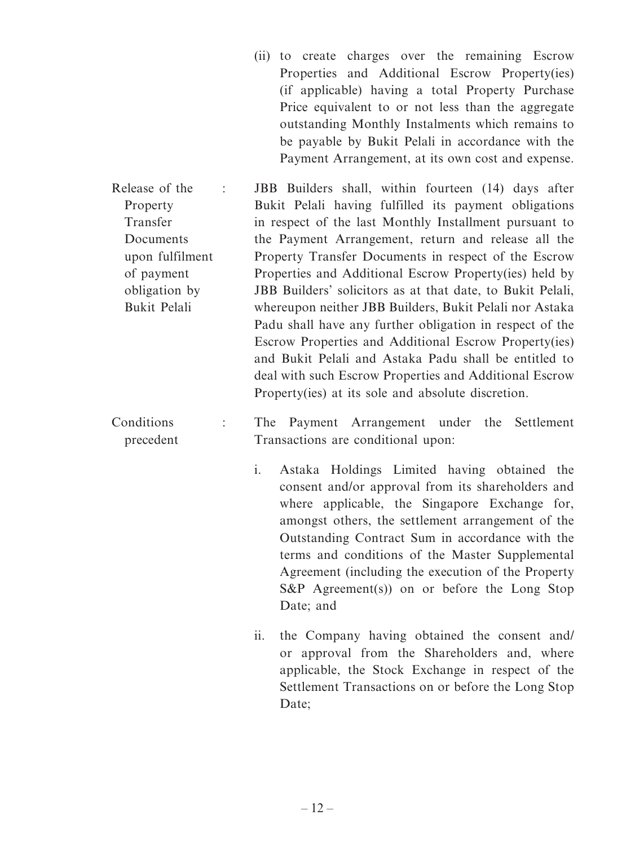- (ii) to create charges over the remaining Escrow Properties and Additional Escrow Property(ies) (if applicable) having a total Property Purchase Price equivalent to or not less than the aggregate outstanding Monthly Instalments which remains to be payable by Bukit Pelali in accordance with the Payment Arrangement, at its own cost and expense.
- Release of the Property Transfer Documents upon fulfilment of payment obligation by Bukit Pelali : JBB Builders shall, within fourteen (14) days after Bukit Pelali having fulfilled its payment obligations in respect of the last Monthly Installment pursuant to the Payment Arrangement, return and release all the Property Transfer Documents in respect of the Escrow Properties and Additional Escrow Property(ies) held by JBB Builders' solicitors as at that date, to Bukit Pelali, whereupon neither JBB Builders, Bukit Pelali nor Astaka Padu shall have any further obligation in respect of the Escrow Properties and Additional Escrow Property(ies) and Bukit Pelali and Astaka Padu shall be entitled to deal with such Escrow Properties and Additional Escrow Property(ies) at its sole and absolute discretion.
- Conditions precedent : The Payment Arrangement under the Settlement Transactions are conditional upon:
	- i. Astaka Holdings Limited having obtained the consent and/or approval from its shareholders and where applicable, the Singapore Exchange for, amongst others, the settlement arrangement of the Outstanding Contract Sum in accordance with the terms and conditions of the Master Supplemental Agreement (including the execution of the Property S&P Agreement(s)) on or before the Long Stop Date; and
	- ii. the Company having obtained the consent and/ or approval from the Shareholders and, where applicable, the Stock Exchange in respect of the Settlement Transactions on or before the Long Stop Date: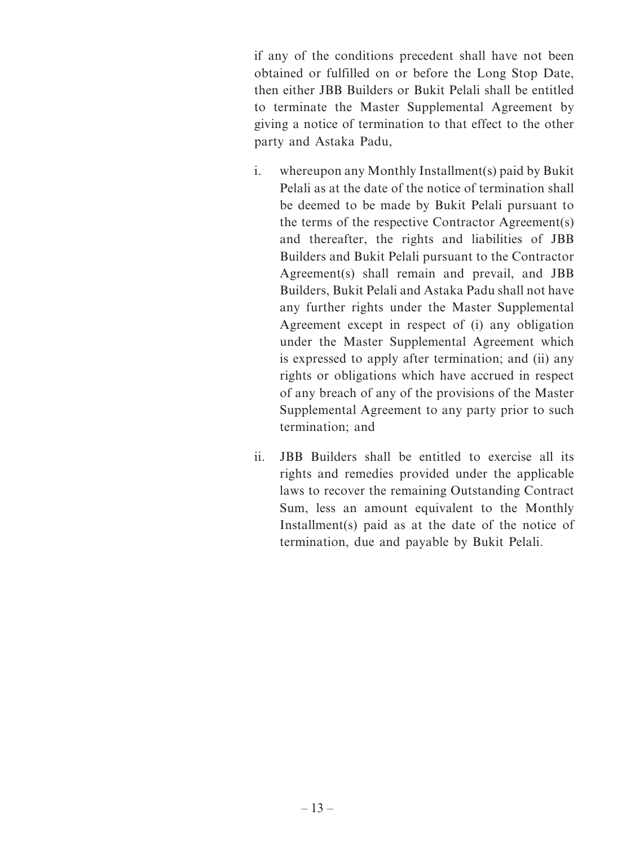if any of the conditions precedent shall have not been obtained or fulfilled on or before the Long Stop Date, then either JBB Builders or Bukit Pelali shall be entitled to terminate the Master Supplemental Agreement by giving a notice of termination to that effect to the other party and Astaka Padu,

- i. whereupon any Monthly Installment(s) paid by Bukit Pelali as at the date of the notice of termination shall be deemed to be made by Bukit Pelali pursuant to the terms of the respective Contractor Agreement(s) and thereafter, the rights and liabilities of JBB Builders and Bukit Pelali pursuant to the Contractor Agreement(s) shall remain and prevail, and JBB Builders, Bukit Pelali and Astaka Padu shall not have any further rights under the Master Supplemental Agreement except in respect of (i) any obligation under the Master Supplemental Agreement which is expressed to apply after termination; and (ii) any rights or obligations which have accrued in respect of any breach of any of the provisions of the Master Supplemental Agreement to any party prior to such termination; and
- ii. JBB Builders shall be entitled to exercise all its rights and remedies provided under the applicable laws to recover the remaining Outstanding Contract Sum, less an amount equivalent to the Monthly Installment(s) paid as at the date of the notice of termination, due and payable by Bukit Pelali.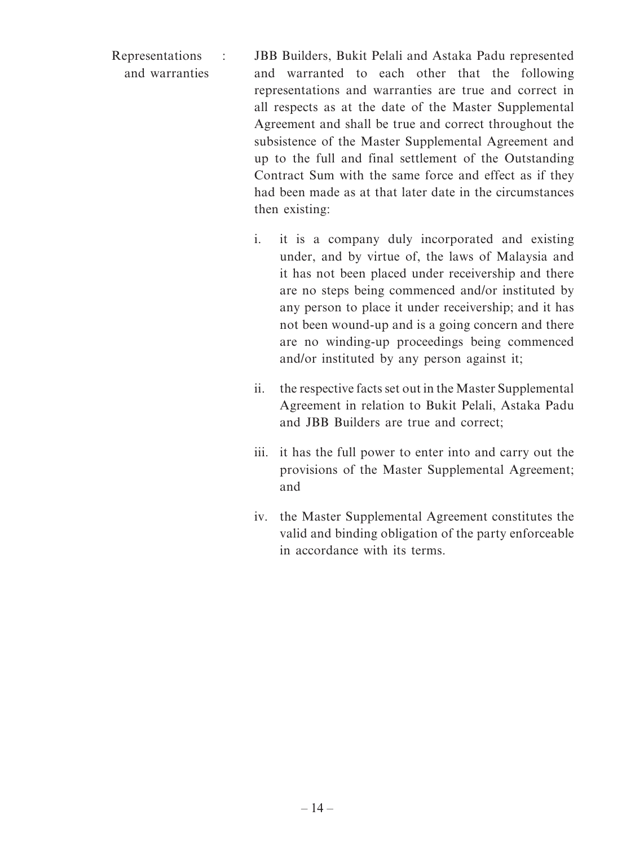- Representations and warranties : JBB Builders, Bukit Pelali and Astaka Padu represented and warranted to each other that the following representations and warranties are true and correct in all respects as at the date of the Master Supplemental Agreement and shall be true and correct throughout the subsistence of the Master Supplemental Agreement and up to the full and final settlement of the Outstanding Contract Sum with the same force and effect as if they had been made as at that later date in the circumstances then existing:
	- i. it is a company duly incorporated and existing under, and by virtue of, the laws of Malaysia and it has not been placed under receivership and there are no steps being commenced and/or instituted by any person to place it under receivership; and it has not been wound-up and is a going concern and there are no winding-up proceedings being commenced and/or instituted by any person against it;
	- ii. the respective facts set out in the Master Supplemental Agreement in relation to Bukit Pelali, Astaka Padu and JBB Builders are true and correct;
	- iii. it has the full power to enter into and carry out the provisions of the Master Supplemental Agreement; and
	- iv. the Master Supplemental Agreement constitutes the valid and binding obligation of the party enforceable in accordance with its terms.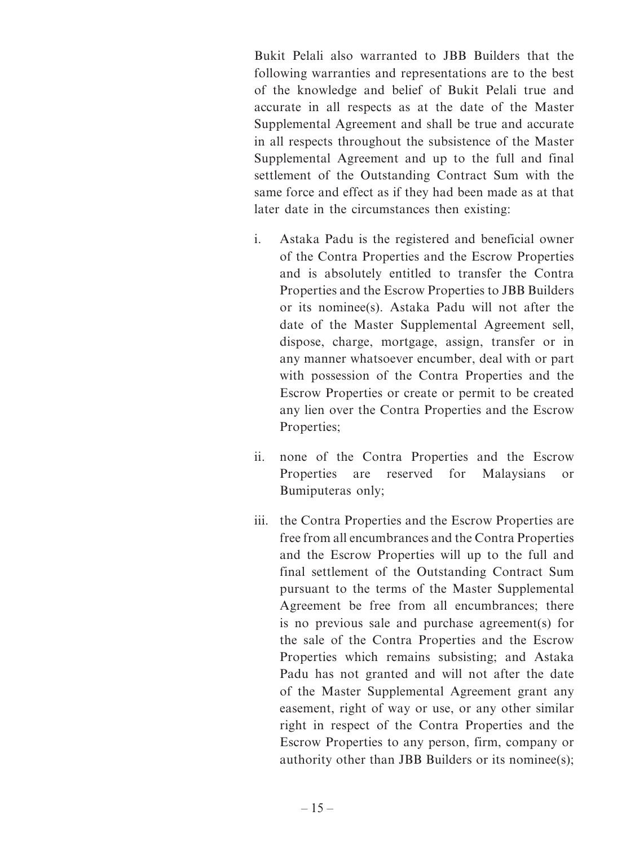Bukit Pelali also warranted to JBB Builders that the following warranties and representations are to the best of the knowledge and belief of Bukit Pelali true and accurate in all respects as at the date of the Master Supplemental Agreement and shall be true and accurate in all respects throughout the subsistence of the Master Supplemental Agreement and up to the full and final settlement of the Outstanding Contract Sum with the same force and effect as if they had been made as at that later date in the circumstances then existing:

- i. Astaka Padu is the registered and beneficial owner of the Contra Properties and the Escrow Properties and is absolutely entitled to transfer the Contra Properties and the Escrow Properties to JBB Builders or its nominee(s). Astaka Padu will not after the date of the Master Supplemental Agreement sell, dispose, charge, mortgage, assign, transfer or in any manner whatsoever encumber, deal with or part with possession of the Contra Properties and the Escrow Properties or create or permit to be created any lien over the Contra Properties and the Escrow Properties;
- ii. none of the Contra Properties and the Escrow Properties are reserved for Malaysians or Bumiputeras only;
- iii. the Contra Properties and the Escrow Properties are free from all encumbrances and the Contra Properties and the Escrow Properties will up to the full and final settlement of the Outstanding Contract Sum pursuant to the terms of the Master Supplemental Agreement be free from all encumbrances; there is no previous sale and purchase agreement(s) for the sale of the Contra Properties and the Escrow Properties which remains subsisting; and Astaka Padu has not granted and will not after the date of the Master Supplemental Agreement grant any easement, right of way or use, or any other similar right in respect of the Contra Properties and the Escrow Properties to any person, firm, company or authority other than JBB Builders or its nominee(s);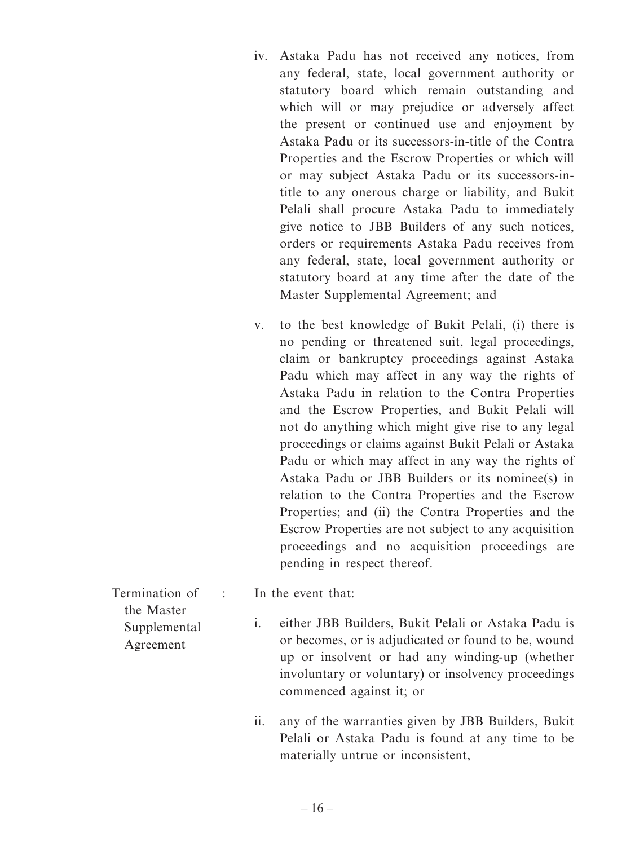- iv. Astaka Padu has not received any notices, from any federal, state, local government authority or statutory board which remain outstanding and which will or may prejudice or adversely affect the present or continued use and enjoyment by Astaka Padu or its successors-in-title of the Contra Properties and the Escrow Properties or which will or may subject Astaka Padu or its successors-intitle to any onerous charge or liability, and Bukit Pelali shall procure Astaka Padu to immediately give notice to JBB Builders of any such notices, orders or requirements Astaka Padu receives from any federal, state, local government authority or statutory board at any time after the date of the Master Supplemental Agreement; and
- v. to the best knowledge of Bukit Pelali, (i) there is no pending or threatened suit, legal proceedings, claim or bankruptcy proceedings against Astaka Padu which may affect in any way the rights of Astaka Padu in relation to the Contra Properties and the Escrow Properties, and Bukit Pelali will not do anything which might give rise to any legal proceedings or claims against Bukit Pelali or Astaka Padu or which may affect in any way the rights of Astaka Padu or JBB Builders or its nominee(s) in relation to the Contra Properties and the Escrow Properties; and (ii) the Contra Properties and the Escrow Properties are not subject to any acquisition proceedings and no acquisition proceedings are pending in respect thereof.
- Termination of the Master Supplemental Agreement
- : In the event that:
	- i. either JBB Builders, Bukit Pelali or Astaka Padu is or becomes, or is adjudicated or found to be, wound up or insolvent or had any winding-up (whether involuntary or voluntary) or insolvency proceedings commenced against it; or
	- ii. any of the warranties given by JBB Builders, Bukit Pelali or Astaka Padu is found at any time to be materially untrue or inconsistent,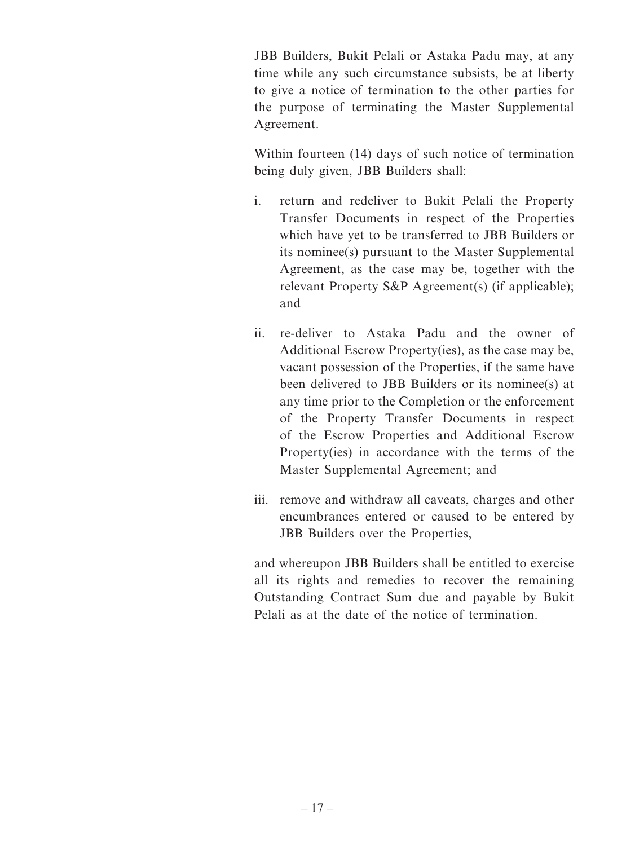JBB Builders, Bukit Pelali or Astaka Padu may, at any time while any such circumstance subsists, be at liberty to give a notice of termination to the other parties for the purpose of terminating the Master Supplemental Agreement.

Within fourteen (14) days of such notice of termination being duly given, JBB Builders shall:

- i. return and redeliver to Bukit Pelali the Property Transfer Documents in respect of the Properties which have yet to be transferred to JBB Builders or its nominee(s) pursuant to the Master Supplemental Agreement, as the case may be, together with the relevant Property S&P Agreement(s) (if applicable); and
- ii. re-deliver to Astaka Padu and the owner of Additional Escrow Property(ies), as the case may be, vacant possession of the Properties, if the same have been delivered to JBB Builders or its nominee(s) at any time prior to the Completion or the enforcement of the Property Transfer Documents in respect of the Escrow Properties and Additional Escrow Property(ies) in accordance with the terms of the Master Supplemental Agreement; and
- iii. remove and withdraw all caveats, charges and other encumbrances entered or caused to be entered by JBB Builders over the Properties,

and whereupon JBB Builders shall be entitled to exercise all its rights and remedies to recover the remaining Outstanding Contract Sum due and payable by Bukit Pelali as at the date of the notice of termination.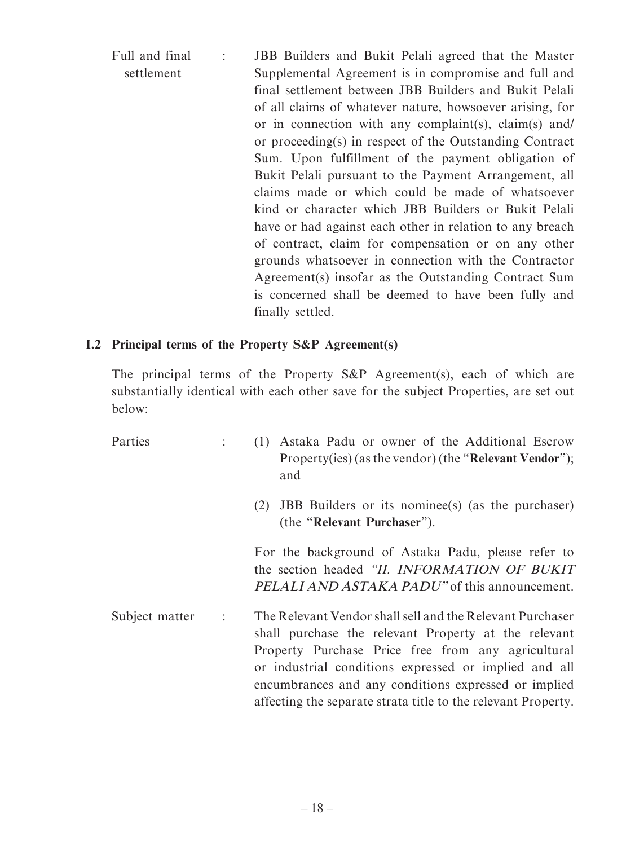| Full and final | JBB Builders and Bukit Pelali agreed that the Master     |
|----------------|----------------------------------------------------------|
| settlement     | Supplemental Agreement is in compromise and full and     |
|                | final settlement between JBB Builders and Bukit Pelali   |
|                | of all claims of whatever nature, howsoever arising, for |
|                | or in connection with any complaint(s), claim(s) and/    |
|                | or proceeding(s) in respect of the Outstanding Contract  |
|                | Sum. Upon fulfillment of the payment obligation of       |
|                | Bukit Pelali pursuant to the Payment Arrangement, all    |
|                | claims made or which could be made of whatsoever         |
|                | kind or character which JBB Builders or Bukit Pelali     |
|                | have or had against each other in relation to any breach |
|                | of contract, claim for compensation or on any other      |
|                | grounds whatsoever in connection with the Contractor     |
|                | Agreement(s) insofar as the Outstanding Contract Sum     |
|                | is concerned shall be deemed to have been fully and      |
|                | finally settled.                                         |

# **I.2 Principal terms of the Property S&P Agreement(s)**

The principal terms of the Property S&P Agreement(s), each of which are substantially identical with each other save for the subject Properties, are set out below:

| Parties                                | (1) Astaka Padu or owner of the Additional Escrow<br>Property(ies) (as the vendor) (the " <b>Relevant Vendor</b> ");<br>and                                                                                                                                                                                                                               |
|----------------------------------------|-----------------------------------------------------------------------------------------------------------------------------------------------------------------------------------------------------------------------------------------------------------------------------------------------------------------------------------------------------------|
|                                        | <b>JBB</b> Builders or its nomines (s) (as the purchaser)<br>(2)<br>(the "Relevant Purchaser").                                                                                                                                                                                                                                                           |
|                                        | For the background of Astaka Padu, please refer to<br>the section headed "II. INFORMATION OF BUKIT<br>PELALI AND ASTAKA PADU" of this announcement.                                                                                                                                                                                                       |
| Subject matter<br>$\ddot{\phantom{a}}$ | The Relevant Vendor shall sell and the Relevant Purchaser<br>shall purchase the relevant Property at the relevant<br>Property Purchase Price free from any agricultural<br>or industrial conditions expressed or implied and all<br>encumbrances and any conditions expressed or implied<br>affecting the separate strata title to the relevant Property. |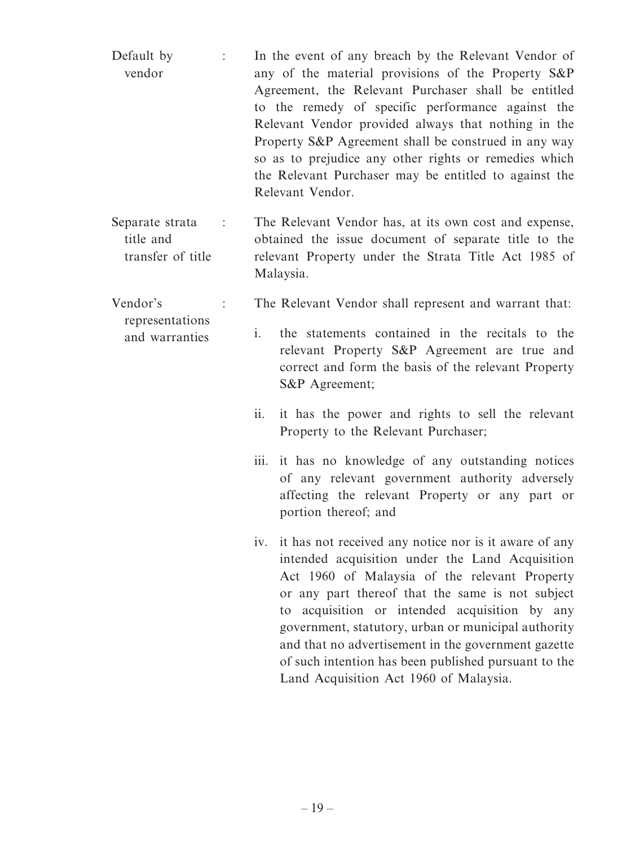- Default by vendor : In the event of any breach by the Relevant Vendor of any of the material provisions of the Property S&P Agreement, the Relevant Purchaser shall be entitled to the remedy of specific performance against the Relevant Vendor provided always that nothing in the Property S&P Agreement shall be construed in any way so as to prejudice any other rights or remedies which the Relevant Purchaser may be entitled to against the Relevant Vendor. Separate strata title and transfer of title : The Relevant Vendor has, at its own cost and expense, obtained the issue document of separate title to the relevant Property under the Strata Title Act 1985 of Malaysia. Vendor's representations and warranties : The Relevant Vendor shall represent and warrant that: i. the statements contained in the recitals to the relevant Property S&P Agreement are true and correct and form the basis of the relevant Property S&P Agreement; ii. it has the power and rights to sell the relevant Property to the Relevant Purchaser;
	- iii. it has no knowledge of any outstanding notices of any relevant government authority adversely affecting the relevant Property or any part or portion thereof; and
	- iv. it has not received any notice nor is it aware of any intended acquisition under the Land Acquisition Act 1960 of Malaysia of the relevant Property or any part thereof that the same is not subject to acquisition or intended acquisition by any government, statutory, urban or municipal authority and that no advertisement in the government gazette of such intention has been published pursuant to the Land Acquisition Act 1960 of Malaysia.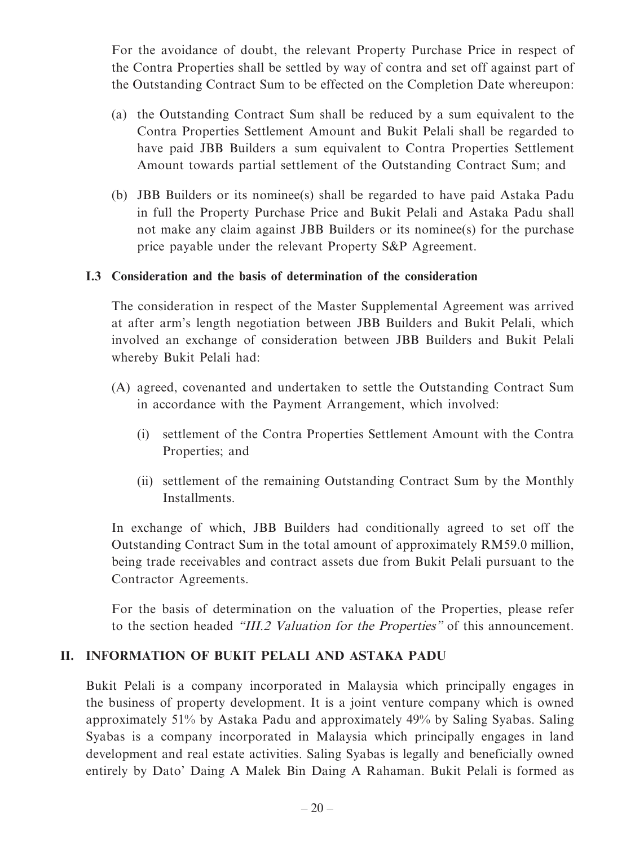For the avoidance of doubt, the relevant Property Purchase Price in respect of the Contra Properties shall be settled by way of contra and set off against part of the Outstanding Contract Sum to be effected on the Completion Date whereupon:

- (a) the Outstanding Contract Sum shall be reduced by a sum equivalent to the Contra Properties Settlement Amount and Bukit Pelali shall be regarded to have paid JBB Builders a sum equivalent to Contra Properties Settlement Amount towards partial settlement of the Outstanding Contract Sum; and
- (b) JBB Builders or its nominee(s) shall be regarded to have paid Astaka Padu in full the Property Purchase Price and Bukit Pelali and Astaka Padu shall not make any claim against JBB Builders or its nominee(s) for the purchase price payable under the relevant Property S&P Agreement.

## **I.3 Consideration and the basis of determination of the consideration**

The consideration in respect of the Master Supplemental Agreement was arrived at after arm's length negotiation between JBB Builders and Bukit Pelali, which involved an exchange of consideration between JBB Builders and Bukit Pelali whereby Bukit Pelali had:

- (A) agreed, covenanted and undertaken to settle the Outstanding Contract Sum in accordance with the Payment Arrangement, which involved:
	- (i) settlement of the Contra Properties Settlement Amount with the Contra Properties; and
	- (ii) settlement of the remaining Outstanding Contract Sum by the Monthly Installments.

In exchange of which, JBB Builders had conditionally agreed to set off the Outstanding Contract Sum in the total amount of approximately RM59.0 million, being trade receivables and contract assets due from Bukit Pelali pursuant to the Contractor Agreements.

For the basis of determination on the valuation of the Properties, please refer to the section headed "III.2 Valuation for the Properties" of this announcement.

## **II. INFORMATION OF BUKIT PELALI AND ASTAKA PADU**

Bukit Pelali is a company incorporated in Malaysia which principally engages in the business of property development. It is a joint venture company which is owned approximately 51% by Astaka Padu and approximately 49% by Saling Syabas. Saling Syabas is a company incorporated in Malaysia which principally engages in land development and real estate activities. Saling Syabas is legally and beneficially owned entirely by Dato' Daing A Malek Bin Daing A Rahaman. Bukit Pelali is formed as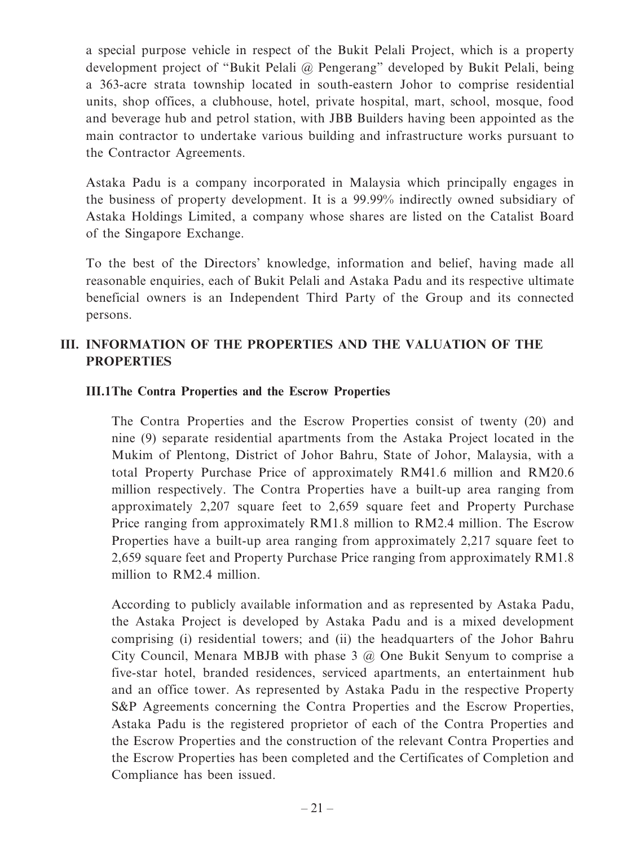a special purpose vehicle in respect of the Bukit Pelali Project, which is a property development project of "Bukit Pelali @ Pengerang" developed by Bukit Pelali, being a 363-acre strata township located in south-eastern Johor to comprise residential units, shop offices, a clubhouse, hotel, private hospital, mart, school, mosque, food and beverage hub and petrol station, with JBB Builders having been appointed as the main contractor to undertake various building and infrastructure works pursuant to the Contractor Agreements.

Astaka Padu is a company incorporated in Malaysia which principally engages in the business of property development. It is a 99.99% indirectly owned subsidiary of Astaka Holdings Limited, a company whose shares are listed on the Catalist Board of the Singapore Exchange.

To the best of the Directors' knowledge, information and belief, having made all reasonable enquiries, each of Bukit Pelali and Astaka Padu and its respective ultimate beneficial owners is an Independent Third Party of the Group and its connected persons.

# **III. INFORMATION OF THE PROPERTIES AND THE VALUATION OF THE PROPERTIES**

## **III.1 The Contra Properties and the Escrow Properties**

The Contra Properties and the Escrow Properties consist of twenty (20) and nine (9) separate residential apartments from the Astaka Project located in the Mukim of Plentong, District of Johor Bahru, State of Johor, Malaysia, with a total Property Purchase Price of approximately RM41.6 million and RM20.6 million respectively. The Contra Properties have a built-up area ranging from approximately 2,207 square feet to 2,659 square feet and Property Purchase Price ranging from approximately RM1.8 million to RM2.4 million. The Escrow Properties have a built-up area ranging from approximately 2,217 square feet to 2,659 square feet and Property Purchase Price ranging from approximately RM1.8 million to RM2.4 million.

According to publicly available information and as represented by Astaka Padu, the Astaka Project is developed by Astaka Padu and is a mixed development comprising (i) residential towers; and (ii) the headquarters of the Johor Bahru City Council, Menara MBJB with phase 3 @ One Bukit Senyum to comprise a five-star hotel, branded residences, serviced apartments, an entertainment hub and an office tower. As represented by Astaka Padu in the respective Property S&P Agreements concerning the Contra Properties and the Escrow Properties, Astaka Padu is the registered proprietor of each of the Contra Properties and the Escrow Properties and the construction of the relevant Contra Properties and the Escrow Properties has been completed and the Certificates of Completion and Compliance has been issued.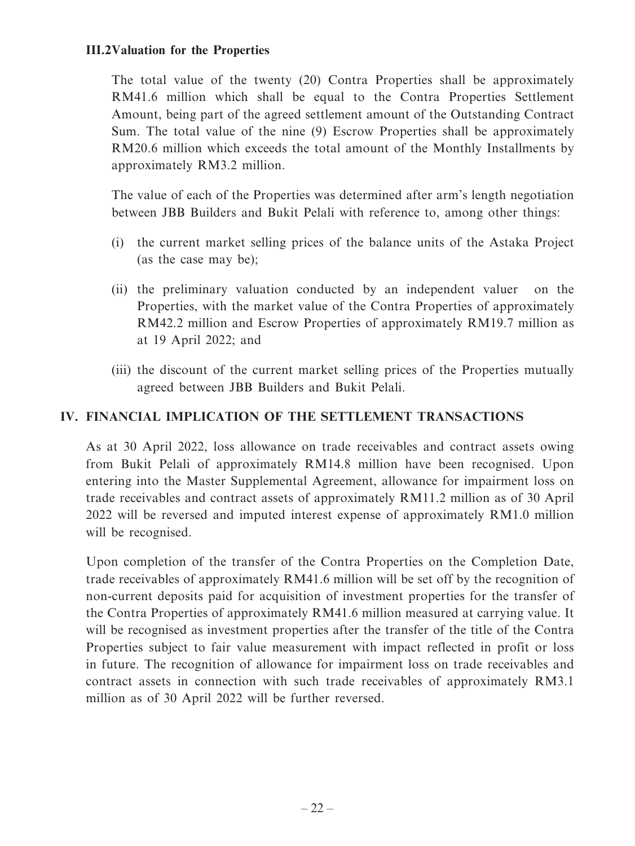The total value of the twenty (20) Contra Properties shall be approximately RM41.6 million which shall be equal to the Contra Properties Settlement Amount, being part of the agreed settlement amount of the Outstanding Contract Sum. The total value of the nine (9) Escrow Properties shall be approximately RM20.6 million which exceeds the total amount of the Monthly Installments by approximately RM3.2 million.

The value of each of the Properties was determined after arm's length negotiation between JBB Builders and Bukit Pelali with reference to, among other things:

- (i) the current market selling prices of the balance units of the Astaka Project (as the case may be);
- (ii) the preliminary valuation conducted by an independent valuer on the Properties, with the market value of the Contra Properties of approximately RM42.2 million and Escrow Properties of approximately RM19.7 million as at 19 April 2022; and
- (iii) the discount of the current market selling prices of the Properties mutually agreed between JBB Builders and Bukit Pelali.

# **IV. FINANCIAL IMPLICATION OF THE SETTLEMENT TRANSACTIONS**

As at 30 April 2022, loss allowance on trade receivables and contract assets owing from Bukit Pelali of approximately RM14.8 million have been recognised. Upon entering into the Master Supplemental Agreement, allowance for impairment loss on trade receivables and contract assets of approximately RM11.2 million as of 30 April 2022 will be reversed and imputed interest expense of approximately RM1.0 million will be recognised.

Upon completion of the transfer of the Contra Properties on the Completion Date, trade receivables of approximately RM41.6 million will be set off by the recognition of non-current deposits paid for acquisition of investment properties for the transfer of the Contra Properties of approximately RM41.6 million measured at carrying value. It will be recognised as investment properties after the transfer of the title of the Contra Properties subject to fair value measurement with impact reflected in profit or loss in future. The recognition of allowance for impairment loss on trade receivables and contract assets in connection with such trade receivables of approximately RM3.1 million as of 30 April 2022 will be further reversed.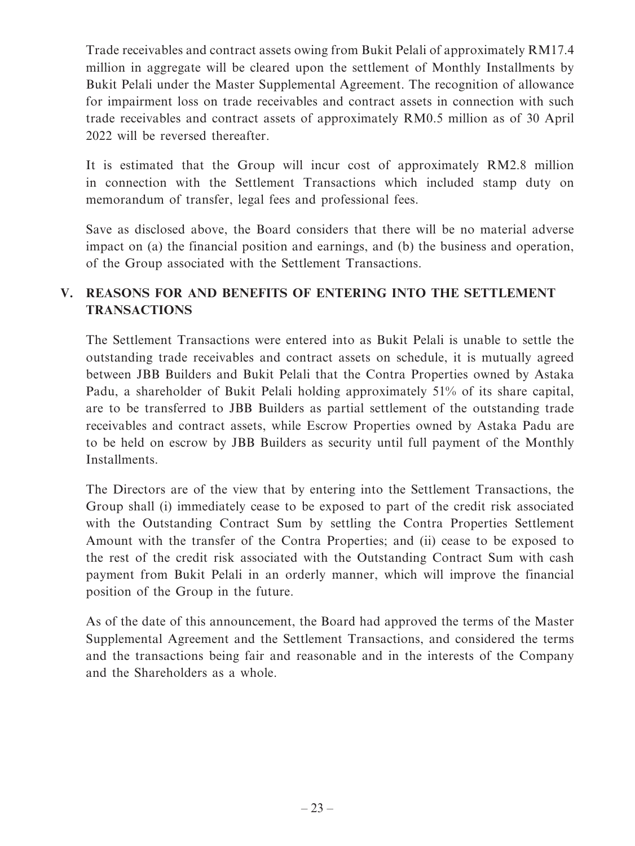Trade receivables and contract assets owing from Bukit Pelali of approximately RM17.4 million in aggregate will be cleared upon the settlement of Monthly Installments by Bukit Pelali under the Master Supplemental Agreement. The recognition of allowance for impairment loss on trade receivables and contract assets in connection with such trade receivables and contract assets of approximately RM0.5 million as of 30 April 2022 will be reversed thereafter.

It is estimated that the Group will incur cost of approximately RM2.8 million in connection with the Settlement Transactions which included stamp duty on memorandum of transfer, legal fees and professional fees.

Save as disclosed above, the Board considers that there will be no material adverse impact on (a) the financial position and earnings, and (b) the business and operation, of the Group associated with the Settlement Transactions.

# **V. REASONS FOR AND BENEFITS OF ENTERING INTO THE SETTLEMENT TRANSACTIONS**

The Settlement Transactions were entered into as Bukit Pelali is unable to settle the outstanding trade receivables and contract assets on schedule, it is mutually agreed between JBB Builders and Bukit Pelali that the Contra Properties owned by Astaka Padu, a shareholder of Bukit Pelali holding approximately 51% of its share capital, are to be transferred to JBB Builders as partial settlement of the outstanding trade receivables and contract assets, while Escrow Properties owned by Astaka Padu are to be held on escrow by JBB Builders as security until full payment of the Monthly Installments.

The Directors are of the view that by entering into the Settlement Transactions, the Group shall (i) immediately cease to be exposed to part of the credit risk associated with the Outstanding Contract Sum by settling the Contra Properties Settlement Amount with the transfer of the Contra Properties; and (ii) cease to be exposed to the rest of the credit risk associated with the Outstanding Contract Sum with cash payment from Bukit Pelali in an orderly manner, which will improve the financial position of the Group in the future.

As of the date of this announcement, the Board had approved the terms of the Master Supplemental Agreement and the Settlement Transactions, and considered the terms and the transactions being fair and reasonable and in the interests of the Company and the Shareholders as a whole.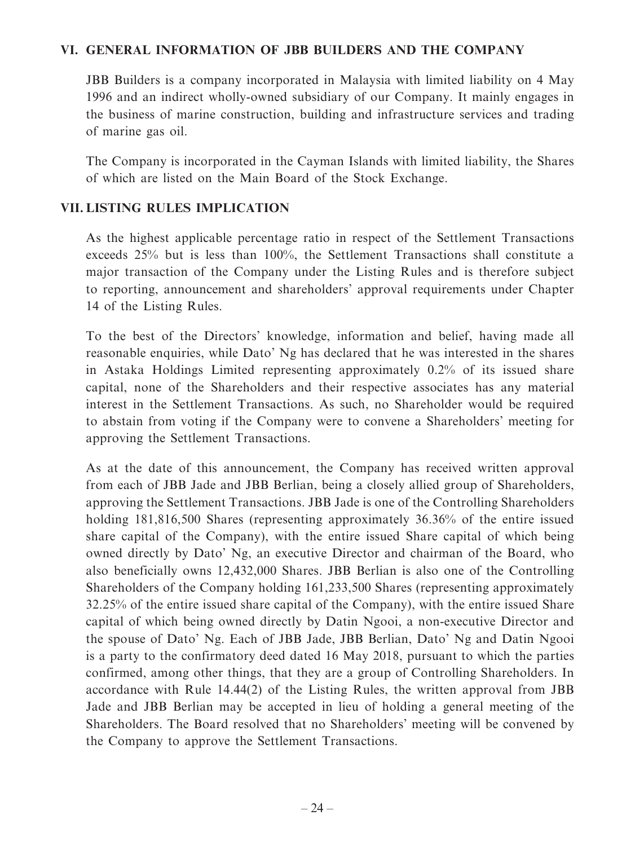## **VI. GENERAL INFORMATION OF JBB BUILDERS AND THE COMPANY**

JBB Builders is a company incorporated in Malaysia with limited liability on 4 May 1996 and an indirect wholly-owned subsidiary of our Company. It mainly engages in the business of marine construction, building and infrastructure services and trading of marine gas oil.

The Company is incorporated in the Cayman Islands with limited liability, the Shares of which are listed on the Main Board of the Stock Exchange.

#### **VII. LISTING RULES IMPLICATION**

As the highest applicable percentage ratio in respect of the Settlement Transactions exceeds 25% but is less than 100%, the Settlement Transactions shall constitute a major transaction of the Company under the Listing Rules and is therefore subject to reporting, announcement and shareholders' approval requirements under Chapter 14 of the Listing Rules.

To the best of the Directors' knowledge, information and belief, having made all reasonable enquiries, while Dato' Ng has declared that he was interested in the shares in Astaka Holdings Limited representing approximately 0.2% of its issued share capital, none of the Shareholders and their respective associates has any material interest in the Settlement Transactions. As such, no Shareholder would be required to abstain from voting if the Company were to convene a Shareholders' meeting for approving the Settlement Transactions.

As at the date of this announcement, the Company has received written approval from each of JBB Jade and JBB Berlian, being a closely allied group of Shareholders, approving the Settlement Transactions. JBB Jade is one of the Controlling Shareholders holding 181,816,500 Shares (representing approximately 36.36% of the entire issued share capital of the Company), with the entire issued Share capital of which being owned directly by Dato' Ng, an executive Director and chairman of the Board, who also beneficially owns 12,432,000 Shares. JBB Berlian is also one of the Controlling Shareholders of the Company holding 161,233,500 Shares (representing approximately 32.25% of the entire issued share capital of the Company), with the entire issued Share capital of which being owned directly by Datin Ngooi, a non-executive Director and the spouse of Dato' Ng. Each of JBB Jade, JBB Berlian, Dato' Ng and Datin Ngooi is a party to the confirmatory deed dated 16 May 2018, pursuant to which the parties confirmed, among other things, that they are a group of Controlling Shareholders. In accordance with Rule 14.44(2) of the Listing Rules, the written approval from JBB Jade and JBB Berlian may be accepted in lieu of holding a general meeting of the Shareholders. The Board resolved that no Shareholders' meeting will be convened by the Company to approve the Settlement Transactions.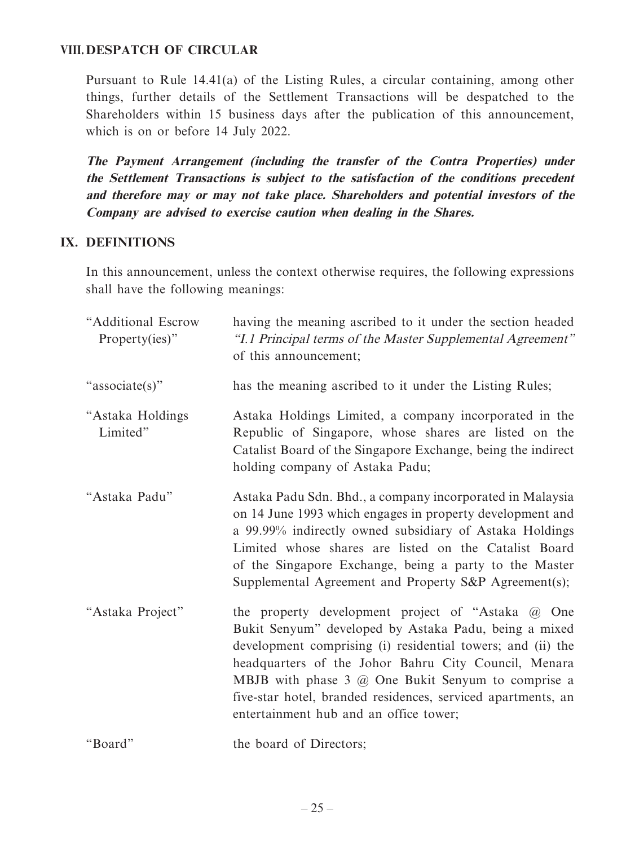#### **VIII. DESPATCH OF CIRCULAR**

Pursuant to Rule 14.41(a) of the Listing Rules, a circular containing, among other things, further details of the Settlement Transactions will be despatched to the Shareholders within 15 business days after the publication of this announcement, which is on or before 14 July 2022.

**The Payment Arrangement (including the transfer of the Contra Properties) under the Settlement Transactions is subject to the satisfaction of the conditions precedent and therefore may or may not take place. Shareholders and potential investors of the Company are advised to exercise caution when dealing in the Shares.**

#### **IX. DEFINITIONS**

In this announcement, unless the context otherwise requires, the following expressions shall have the following meanings:

| "Additional Escrow<br>Property(ies)" | having the meaning ascribed to it under the section headed<br>"I.1 Principal terms of the Master Supplemental Agreement"<br>of this announcement;                                                                                                                                                                                                                                                          |
|--------------------------------------|------------------------------------------------------------------------------------------------------------------------------------------------------------------------------------------------------------------------------------------------------------------------------------------------------------------------------------------------------------------------------------------------------------|
| "associate(s)"                       | has the meaning ascribed to it under the Listing Rules;                                                                                                                                                                                                                                                                                                                                                    |
| "Astaka Holdings<br>Limited"         | Astaka Holdings Limited, a company incorporated in the<br>Republic of Singapore, whose shares are listed on the<br>Catalist Board of the Singapore Exchange, being the indirect<br>holding company of Astaka Padu;                                                                                                                                                                                         |
| "Astaka Padu"                        | Astaka Padu Sdn. Bhd., a company incorporated in Malaysia<br>on 14 June 1993 which engages in property development and<br>a 99.99% indirectly owned subsidiary of Astaka Holdings<br>Limited whose shares are listed on the Catalist Board<br>of the Singapore Exchange, being a party to the Master<br>Supplemental Agreement and Property S&P Agreement(s);                                              |
| "Astaka Project"                     | the property development project of "Astaka @ One<br>Bukit Senyum" developed by Astaka Padu, being a mixed<br>development comprising (i) residential towers; and (ii) the<br>headquarters of the Johor Bahru City Council, Menara<br>MBJB with phase $3$ $\omega$ One Bukit Senyum to comprise a<br>five-star hotel, branded residences, serviced apartments, an<br>entertainment hub and an office tower; |
| "Board"                              | the board of Directors;                                                                                                                                                                                                                                                                                                                                                                                    |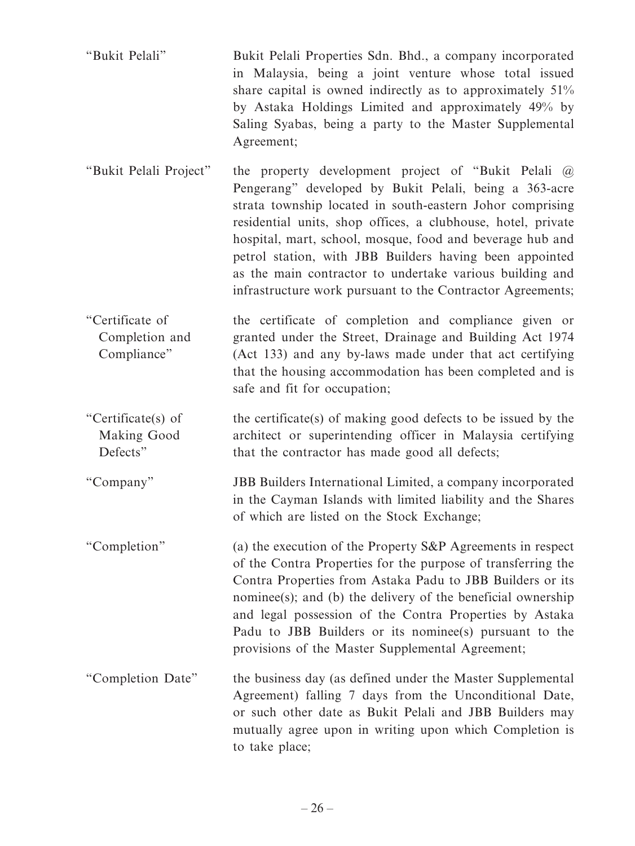- "Bukit Pelali" Bukit Pelali Properties Sdn. Bhd., a company incorporated in Malaysia, being a joint venture whose total issued share capital is owned indirectly as to approximately 51% by Astaka Holdings Limited and approximately 49% by Saling Syabas, being a party to the Master Supplemental Agreement;
- "Bukit Pelali Project" the property development project of "Bukit Pelali @ Pengerang" developed by Bukit Pelali, being a 363-acre strata township located in south-eastern Johor comprising residential units, shop offices, a clubhouse, hotel, private hospital, mart, school, mosque, food and beverage hub and petrol station, with JBB Builders having been appointed as the main contractor to undertake various building and infrastructure work pursuant to the Contractor Agreements;
- "Certificate of Completion and Compliance" the certificate of completion and compliance given or granted under the Street, Drainage and Building Act 1974 (Act 133) and any by-laws made under that act certifying that the housing accommodation has been completed and is safe and fit for occupation;
- "Certificate(s) of Making Good Defects" the certificate(s) of making good defects to be issued by the architect or superintending officer in Malaysia certifying that the contractor has made good all defects;

"Company" JBB Builders International Limited, a company incorporated in the Cayman Islands with limited liability and the Shares of which are listed on the Stock Exchange;

- "Completion" (a) the execution of the Property S&P Agreements in respect of the Contra Properties for the purpose of transferring the Contra Properties from Astaka Padu to JBB Builders or its nominee(s); and (b) the delivery of the beneficial ownership and legal possession of the Contra Properties by Astaka Padu to JBB Builders or its nominee(s) pursuant to the provisions of the Master Supplemental Agreement;
- "Completion Date" the business day (as defined under the Master Supplemental Agreement) falling 7 days from the Unconditional Date, or such other date as Bukit Pelali and JBB Builders may mutually agree upon in writing upon which Completion is to take place;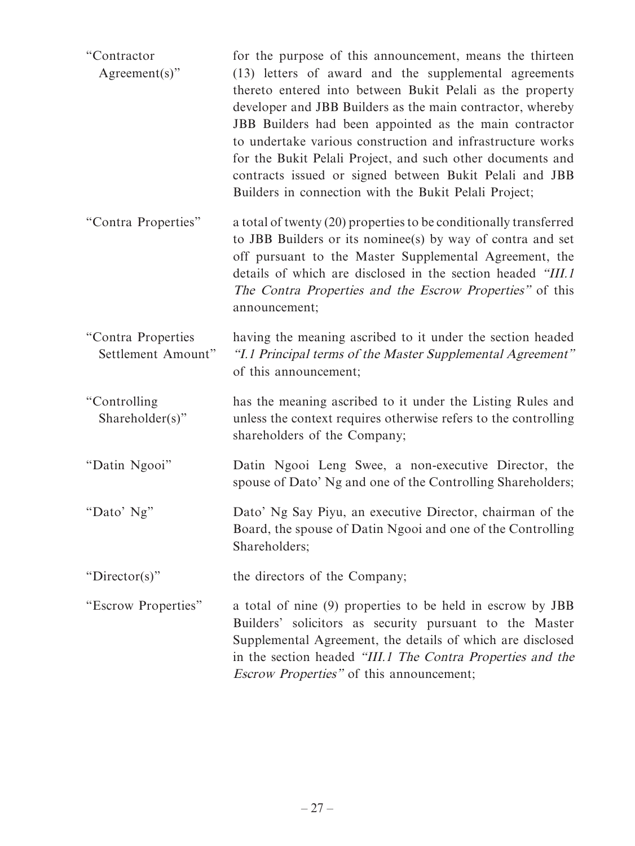| "Contractor<br>$Agreement(s)$ "          | for the purpose of this announcement, means the thirteen<br>(13) letters of award and the supplemental agreements<br>thereto entered into between Bukit Pelali as the property<br>developer and JBB Builders as the main contractor, whereby<br>JBB Builders had been appointed as the main contractor<br>to undertake various construction and infrastructure works<br>for the Bukit Pelali Project, and such other documents and<br>contracts issued or signed between Bukit Pelali and JBB<br>Builders in connection with the Bukit Pelali Project; |
|------------------------------------------|--------------------------------------------------------------------------------------------------------------------------------------------------------------------------------------------------------------------------------------------------------------------------------------------------------------------------------------------------------------------------------------------------------------------------------------------------------------------------------------------------------------------------------------------------------|
| "Contra Properties"                      | a total of twenty (20) properties to be conditionally transferred<br>to JBB Builders or its nomines (s) by way of contra and set<br>off pursuant to the Master Supplemental Agreement, the<br>details of which are disclosed in the section headed "III.1<br>The Contra Properties and the Escrow Properties" of this<br>announcement;                                                                                                                                                                                                                 |
| "Contra Properties<br>Settlement Amount" | having the meaning ascribed to it under the section headed<br>"I.1 Principal terms of the Master Supplemental Agreement"<br>of this announcement;                                                                                                                                                                                                                                                                                                                                                                                                      |
| "Controlling<br>Shareholder(s)"          | has the meaning ascribed to it under the Listing Rules and<br>unless the context requires otherwise refers to the controlling<br>shareholders of the Company;                                                                                                                                                                                                                                                                                                                                                                                          |
| "Datin Ngooi"                            | Datin Ngooi Leng Swee, a non-executive Director, the<br>spouse of Dato' Ng and one of the Controlling Shareholders;                                                                                                                                                                                                                                                                                                                                                                                                                                    |
| "Dato' Ng"                               | Dato' Ng Say Piyu, an executive Director, chairman of the<br>Board, the spouse of Datin Ngooi and one of the Controlling<br>Shareholders;                                                                                                                                                                                                                                                                                                                                                                                                              |
| " $Director(s)$ "                        | the directors of the Company;                                                                                                                                                                                                                                                                                                                                                                                                                                                                                                                          |
| "Escrow Properties"                      | a total of nine (9) properties to be held in escrow by JBB<br>Builders' solicitors as security pursuant to the Master<br>Supplemental Agreement, the details of which are disclosed<br>in the section headed "III.1 The Contra Properties and the<br><i>Escrow Properties"</i> of this announcement;                                                                                                                                                                                                                                                   |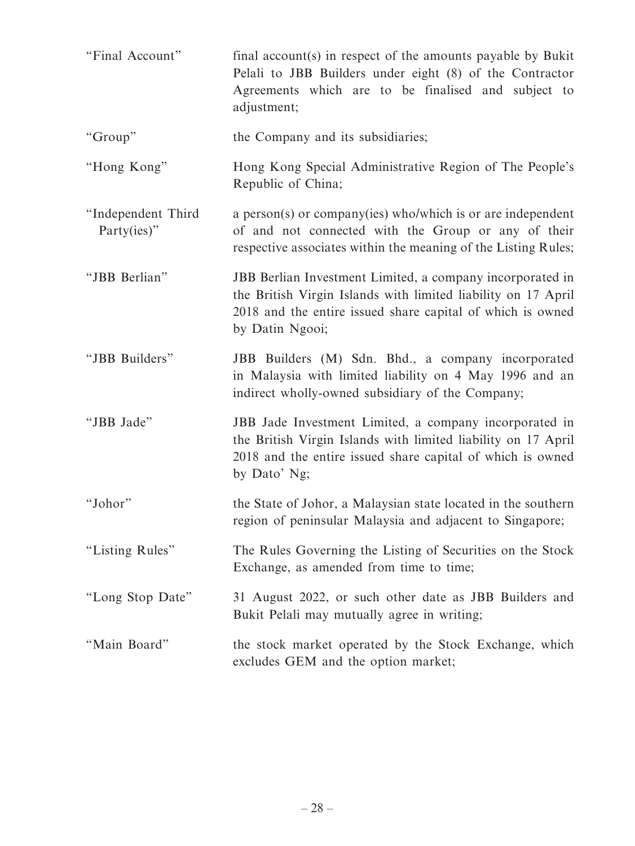| "Final Account"                   | final account(s) in respect of the amounts payable by Bukit<br>Pelali to JBB Builders under eight (8) of the Contractor<br>Agreements which are to be finalised and subject to<br>adjustment;               |
|-----------------------------------|-------------------------------------------------------------------------------------------------------------------------------------------------------------------------------------------------------------|
| "Group"                           | the Company and its subsidiaries;                                                                                                                                                                           |
| "Hong Kong"                       | Hong Kong Special Administrative Region of The People's<br>Republic of China;                                                                                                                               |
| "Independent Third<br>Party(ies)" | a person(s) or company(ies) who/which is or are independent<br>of and not connected with the Group or any of their<br>respective associates within the meaning of the Listing Rules;                        |
| "JBB Berlian"                     | JBB Berlian Investment Limited, a company incorporated in<br>the British Virgin Islands with limited liability on 17 April<br>2018 and the entire issued share capital of which is owned<br>by Datin Ngooi; |
| "JBB Builders"                    | JBB Builders (M) Sdn. Bhd., a company incorporated<br>in Malaysia with limited liability on 4 May 1996 and an<br>indirect wholly-owned subsidiary of the Company;                                           |
| "JBB Jade"                        | JBB Jade Investment Limited, a company incorporated in<br>the British Virgin Islands with limited liability on 17 April<br>2018 and the entire issued share capital of which is owned<br>by Dato' Ng;       |
| "Johor"                           | the State of Johor, a Malaysian state located in the southern<br>region of peninsular Malaysia and adjacent to Singapore;                                                                                   |
| "Listing Rules"                   | The Rules Governing the Listing of Securities on the Stock<br>Exchange, as amended from time to time;                                                                                                       |
| "Long Stop Date"                  | 31 August 2022, or such other date as JBB Builders and<br>Bukit Pelali may mutually agree in writing;                                                                                                       |
| "Main Board"                      | the stock market operated by the Stock Exchange, which<br>excludes GEM and the option market;                                                                                                               |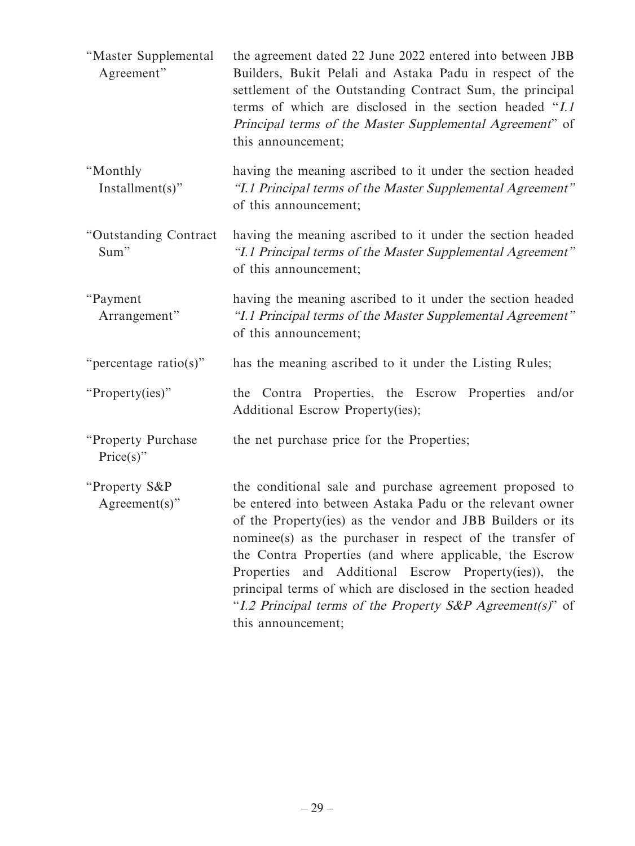| "Master Supplemental<br>Agreement" | the agreement dated 22 June 2022 entered into between JBB<br>Builders, Bukit Pelali and Astaka Padu in respect of the<br>settlement of the Outstanding Contract Sum, the principal<br>terms of which are disclosed in the section headed "I.1"<br>Principal terms of the Master Supplemental Agreement" of<br>this announcement;                                                                                                                                                                                       |
|------------------------------------|------------------------------------------------------------------------------------------------------------------------------------------------------------------------------------------------------------------------------------------------------------------------------------------------------------------------------------------------------------------------------------------------------------------------------------------------------------------------------------------------------------------------|
| "Monthly<br>$Instant(s)$ "         | having the meaning ascribed to it under the section headed<br>"I.1 Principal terms of the Master Supplemental Agreement"<br>of this announcement;                                                                                                                                                                                                                                                                                                                                                                      |
| "Outstanding Contract<br>Sum"      | having the meaning ascribed to it under the section headed<br>"I.1 Principal terms of the Master Supplemental Agreement"<br>of this announcement;                                                                                                                                                                                                                                                                                                                                                                      |
| "Payment<br>Arrangement"           | having the meaning ascribed to it under the section headed<br>"I.1 Principal terms of the Master Supplemental Agreement"<br>of this announcement;                                                                                                                                                                                                                                                                                                                                                                      |
| "percentage ratio(s)"              | has the meaning ascribed to it under the Listing Rules;                                                                                                                                                                                                                                                                                                                                                                                                                                                                |
| "Property(ies)"                    | the Contra Properties, the Escrow Properties and/or<br>Additional Escrow Property(ies);                                                                                                                                                                                                                                                                                                                                                                                                                                |
| "Property Purchase<br>$Price(s)$ " | the net purchase price for the Properties;                                                                                                                                                                                                                                                                                                                                                                                                                                                                             |
| "Property S&P<br>$Agreement(s)$ "  | the conditional sale and purchase agreement proposed to<br>be entered into between Astaka Padu or the relevant owner<br>of the Property (ies) as the vendor and JBB Builders or its<br>nominee(s) as the purchaser in respect of the transfer of<br>the Contra Properties (and where applicable, the Escrow<br>Properties and Additional Escrow Property(ies)), the<br>principal terms of which are disclosed in the section headed<br>"I.2 Principal terms of the Property S&P Agreement(s)" of<br>this announcement; |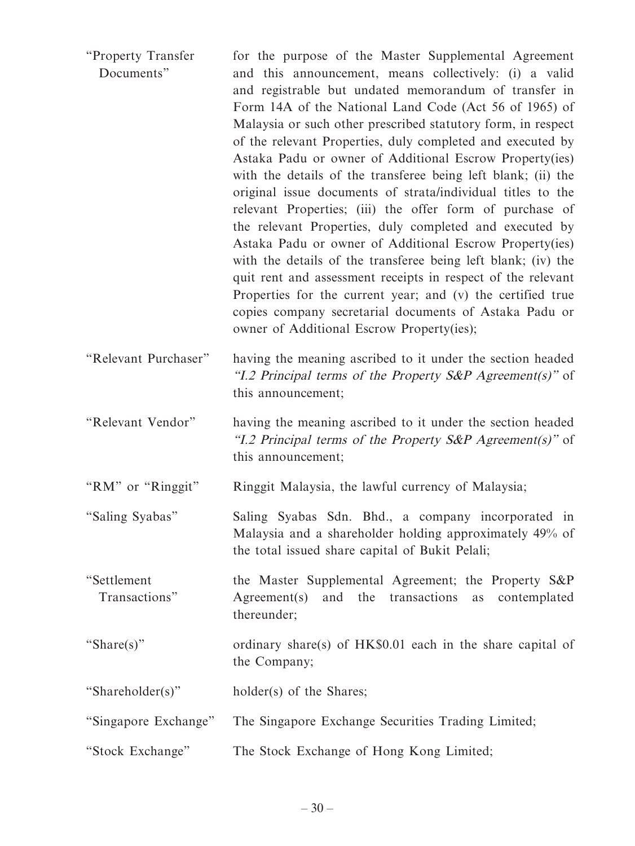| "Property Transfer<br>Documents" | for the purpose of the Master Supplemental Agreement<br>and this announcement, means collectively: (i) a valid<br>and registrable but undated memorandum of transfer in<br>Form 14A of the National Land Code (Act 56 of 1965) of<br>Malaysia or such other prescribed statutory form, in respect<br>of the relevant Properties, duly completed and executed by<br>Astaka Padu or owner of Additional Escrow Property(ies)<br>with the details of the transferee being left blank; (ii) the<br>original issue documents of strata/individual titles to the<br>relevant Properties; (iii) the offer form of purchase of<br>the relevant Properties, duly completed and executed by<br>Astaka Padu or owner of Additional Escrow Property(ies)<br>with the details of the transferee being left blank; (iv) the<br>quit rent and assessment receipts in respect of the relevant<br>Properties for the current year; and (v) the certified true<br>copies company secretarial documents of Astaka Padu or<br>owner of Additional Escrow Property(ies); |
|----------------------------------|-----------------------------------------------------------------------------------------------------------------------------------------------------------------------------------------------------------------------------------------------------------------------------------------------------------------------------------------------------------------------------------------------------------------------------------------------------------------------------------------------------------------------------------------------------------------------------------------------------------------------------------------------------------------------------------------------------------------------------------------------------------------------------------------------------------------------------------------------------------------------------------------------------------------------------------------------------------------------------------------------------------------------------------------------------|
| "Relevant Purchaser"             | having the meaning ascribed to it under the section headed<br>"I.2 Principal terms of the Property S&P Agreement(s)" of<br>this announcement;                                                                                                                                                                                                                                                                                                                                                                                                                                                                                                                                                                                                                                                                                                                                                                                                                                                                                                       |
| "Relevant Vendor"                | having the meaning ascribed to it under the section headed<br>"I.2 Principal terms of the Property S&P Agreement(s)" of<br>this announcement;                                                                                                                                                                                                                                                                                                                                                                                                                                                                                                                                                                                                                                                                                                                                                                                                                                                                                                       |
| "RM" or "Ringgit"                | Ringgit Malaysia, the lawful currency of Malaysia;                                                                                                                                                                                                                                                                                                                                                                                                                                                                                                                                                                                                                                                                                                                                                                                                                                                                                                                                                                                                  |
| "Saling Syabas"                  | Saling Syabas Sdn. Bhd., a company incorporated in<br>Malaysia and a shareholder holding approximately 49% of<br>the total issued share capital of Bukit Pelali;                                                                                                                                                                                                                                                                                                                                                                                                                                                                                                                                                                                                                                                                                                                                                                                                                                                                                    |
| "Settlement<br>Transactions"     | the Master Supplemental Agreement; the Property S&P<br>and the transactions<br>Agreement(s)<br>as<br>contemplated<br>thereunder;                                                                                                                                                                                                                                                                                                                                                                                                                                                                                                                                                                                                                                                                                                                                                                                                                                                                                                                    |
| "Share(s)"                       | ordinary share(s) of HK\$0.01 each in the share capital of<br>the Company;                                                                                                                                                                                                                                                                                                                                                                                                                                                                                                                                                                                                                                                                                                                                                                                                                                                                                                                                                                          |
| "Shareholder(s)"                 | holder(s) of the Shares;                                                                                                                                                                                                                                                                                                                                                                                                                                                                                                                                                                                                                                                                                                                                                                                                                                                                                                                                                                                                                            |
| "Singapore Exchange"             | The Singapore Exchange Securities Trading Limited;                                                                                                                                                                                                                                                                                                                                                                                                                                                                                                                                                                                                                                                                                                                                                                                                                                                                                                                                                                                                  |
| "Stock Exchange"                 | The Stock Exchange of Hong Kong Limited;                                                                                                                                                                                                                                                                                                                                                                                                                                                                                                                                                                                                                                                                                                                                                                                                                                                                                                                                                                                                            |